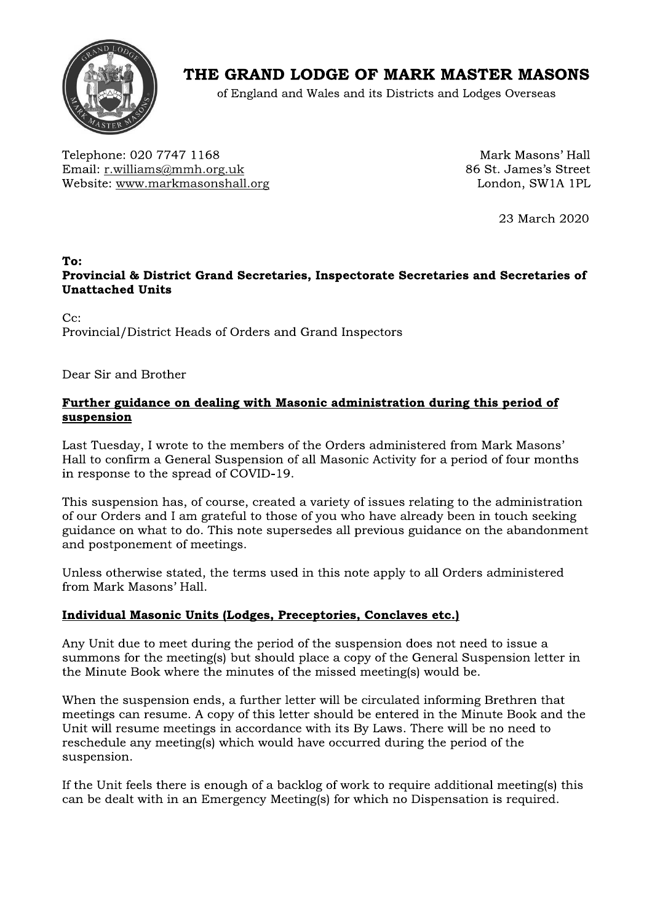

# THE GRAND LODGE OF MARK MASTER MASONS

of England and Wales and its Districts and Lodges Overseas

Telephone: 020 7747 1168 Email: r.williams@mmh.org.uk Website: www.markmasonshall.org

Mark Masons' Hall 86 St. James's Street London, SW1A 1PL

23 March 2020

#### To: Provincial & District Grand Secretaries, Inspectorate Secretaries and Secretaries of **Unattached Units**

 $C_{\rm C}$ : Provincial/District Heads of Orders and Grand Inspectors

Dear Sir and Brother

## Further guidance on dealing with Masonic administration during this period of suspension

Last Tuesday, I wrote to the members of the Orders administered from Mark Masons' Hall to confirm a General Suspension of all Masonic Activity for a period of four months in response to the spread of COVID-19.

This suspension has, of course, created a variety of issues relating to the administration of our Orders and I am grateful to those of you who have already been in touch seeking guidance on what to do. This note supersedes all previous guidance on the abandonment and postponement of meetings.

Unless otherwise stated, the terms used in this note apply to all Orders administered from Mark Masons' Hall.

## Individual Masonic Units (Lodges, Preceptories, Conclaves etc.)

Any Unit due to meet during the period of the suspension does not need to issue a summons for the meeting(s) but should place a copy of the General Suspension letter in the Minute Book where the minutes of the missed meeting(s) would be.

When the suspension ends, a further letter will be circulated informing Brethren that meetings can resume. A copy of this letter should be entered in the Minute Book and the Unit will resume meetings in accordance with its By Laws. There will be no need to reschedule any meeting(s) which would have occurred during the period of the suspension.

If the Unit feels there is enough of a backlog of work to require additional meeting(s) this can be dealt with in an Emergency Meeting(s) for which no Dispensation is required.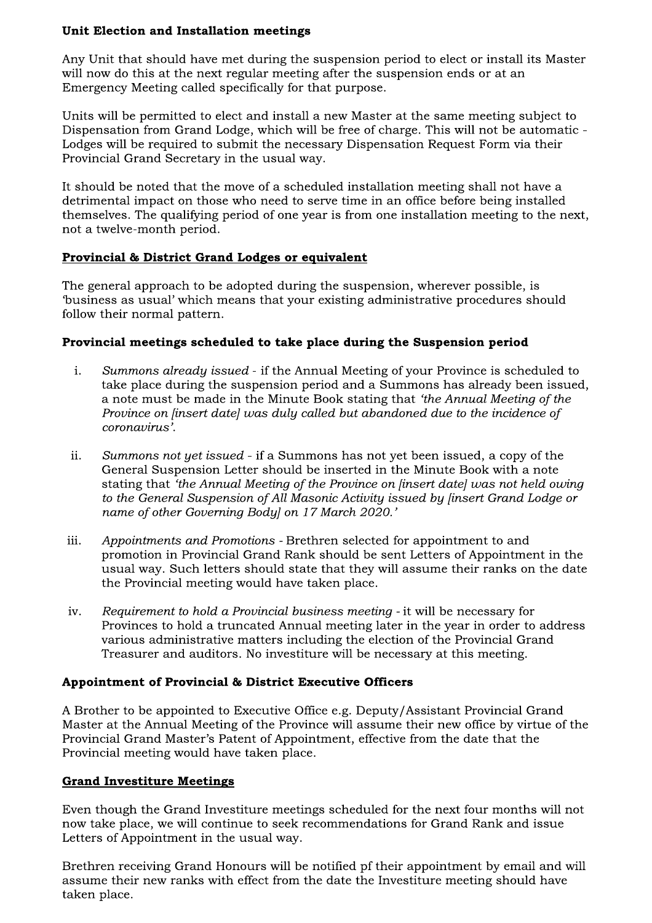## Unit Election and Installation meetings

Any Unit that should have met during the suspension period to elect or install its Master will now do this at the next regular meeting after the suspension ends or at an Emergency Meeting called specifically for that purpose.

Units will be permitted to elect and install a new Master at the same meeting subject to Dispensation from Grand Lodge, which will be free of charge. This will not be automatic -Lodges will be required to submit the necessary Dispensation Request Form via their Provincial Grand Secretary in the usual way.

It should be noted that the move of a scheduled installation meeting shall not have a detrimental impact on those who need to serve time in an office before being installed themselves. The qualifying period of one year is from one installation meeting to the next, not a twelve-month period.

## Provincial & District Grand Lodges or equivalent

The general approach to be adopted during the suspension, wherever possible, is 'business as usual' which means that your existing administrative procedures should follow their normal pattern.

## Provincial meetings scheduled to take place during the Suspension period

- i. Summons already issued - if the Annual Meeting of your Province is scheduled to take place during the suspension period and a Summons has already been issued, a note must be made in the Minute Book stating that 'the Annual Meeting of the Province on finsert datel was duly called but abandoned due to the incidence of coronavirus'.
- ii. Summons not yet issued - if a Summons has not yet been issued, a copy of the General Suspension Letter should be inserted in the Minute Book with a note stating that 'the Annual Meeting of the Province on [insert date] was not held owing to the General Suspension of All Masonic Activity issued by finsert Grand Lodge or name of other Governing Bodyl on 17 March 2020.'
- iii. Appointments and Promotions - Brethren selected for appointment to and promotion in Provincial Grand Rank should be sent Letters of Appointment in the usual way. Such letters should state that they will assume their ranks on the date the Provincial meeting would have taken place.
- Requirement to hold a Provincial business meeting it will be necessary for iv. Provinces to hold a truncated Annual meeting later in the year in order to address various administrative matters including the election of the Provincial Grand Treasurer and auditors. No investiture will be necessary at this meeting.

## Appointment of Provincial & District Executive Officers

A Brother to be appointed to Executive Office e.g. Deputy/Assistant Provincial Grand Master at the Annual Meeting of the Province will assume their new office by virtue of the Provincial Grand Master's Patent of Appointment, effective from the date that the Provincial meeting would have taken place.

## **Grand Investiture Meetings**

Even though the Grand Investiture meetings scheduled for the next four months will not now take place, we will continue to seek recommendations for Grand Rank and issue Letters of Appointment in the usual way.

Brethren receiving Grand Honours will be notified pf their appointment by email and will assume their new ranks with effect from the date the Investiture meeting should have taken place.